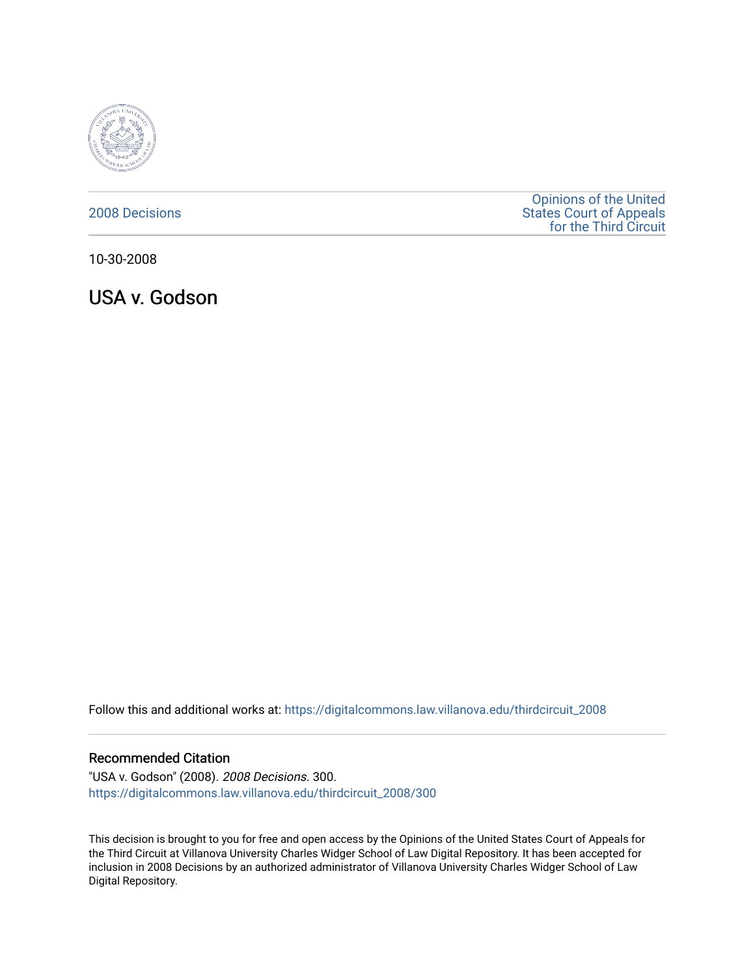

# [2008 Decisions](https://digitalcommons.law.villanova.edu/thirdcircuit_2008)

[Opinions of the United](https://digitalcommons.law.villanova.edu/thirdcircuit)  [States Court of Appeals](https://digitalcommons.law.villanova.edu/thirdcircuit)  [for the Third Circuit](https://digitalcommons.law.villanova.edu/thirdcircuit) 

10-30-2008

USA v. Godson

Follow this and additional works at: [https://digitalcommons.law.villanova.edu/thirdcircuit\\_2008](https://digitalcommons.law.villanova.edu/thirdcircuit_2008?utm_source=digitalcommons.law.villanova.edu%2Fthirdcircuit_2008%2F300&utm_medium=PDF&utm_campaign=PDFCoverPages) 

## Recommended Citation

"USA v. Godson" (2008). 2008 Decisions. 300. [https://digitalcommons.law.villanova.edu/thirdcircuit\\_2008/300](https://digitalcommons.law.villanova.edu/thirdcircuit_2008/300?utm_source=digitalcommons.law.villanova.edu%2Fthirdcircuit_2008%2F300&utm_medium=PDF&utm_campaign=PDFCoverPages)

This decision is brought to you for free and open access by the Opinions of the United States Court of Appeals for the Third Circuit at Villanova University Charles Widger School of Law Digital Repository. It has been accepted for inclusion in 2008 Decisions by an authorized administrator of Villanova University Charles Widger School of Law Digital Repository.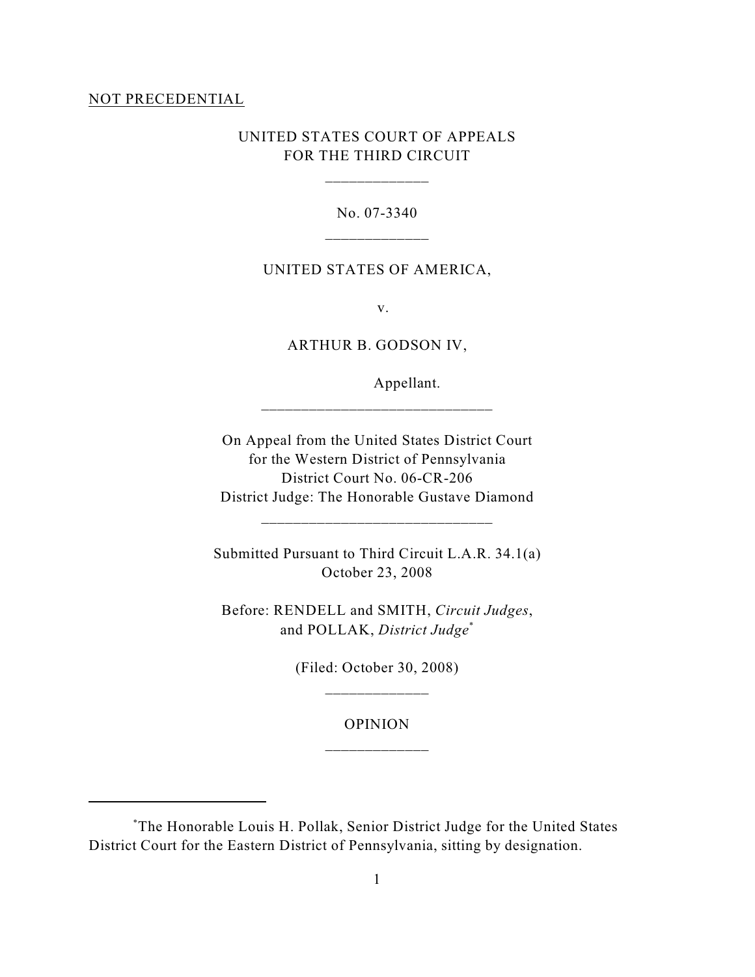#### NOT PRECEDENTIAL

# UNITED STATES COURT OF APPEALS FOR THE THIRD CIRCUIT

\_\_\_\_\_\_\_\_\_\_\_\_\_

No. 07-3340 \_\_\_\_\_\_\_\_\_\_\_\_\_

### UNITED STATES OF AMERICA,

v.

ARTHUR B. GODSON IV,

\_\_\_\_\_\_\_\_\_\_\_\_\_\_\_\_\_\_\_\_\_\_\_\_\_\_\_\_\_

Appellant.

On Appeal from the United States District Court for the Western District of Pennsylvania District Court No. 06-CR-206 District Judge: The Honorable Gustave Diamond

\_\_\_\_\_\_\_\_\_\_\_\_\_\_\_\_\_\_\_\_\_\_\_\_\_\_\_\_\_

Submitted Pursuant to Third Circuit L.A.R. 34.1(a) October 23, 2008

Before: RENDELL and SMITH, *Circuit Judges*, and POLLAK, *District Judge*\*

> (Filed: October 30, 2008) \_\_\_\_\_\_\_\_\_\_\_\_\_

> > OPINION \_\_\_\_\_\_\_\_\_\_\_\_\_

The Honorable Louis H. Pollak, Senior District Judge for the United States \* District Court for the Eastern District of Pennsylvania, sitting by designation.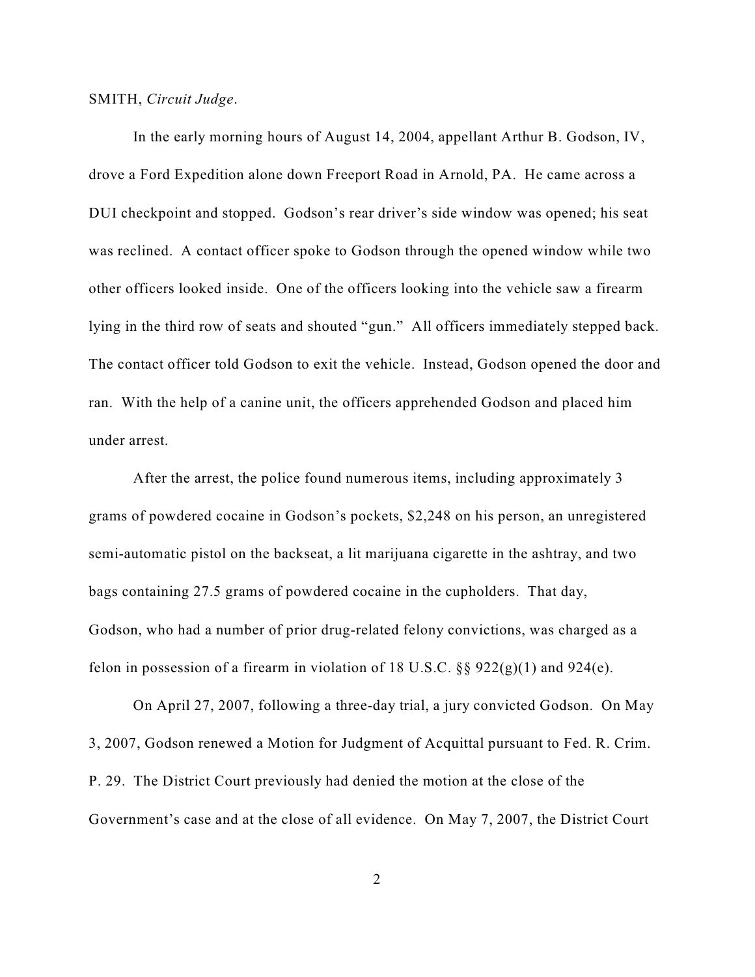## SMITH, *Circuit Judge*.

In the early morning hours of August 14, 2004, appellant Arthur B. Godson, IV, drove a Ford Expedition alone down Freeport Road in Arnold, PA. He came across a DUI checkpoint and stopped. Godson's rear driver's side window was opened; his seat was reclined. A contact officer spoke to Godson through the opened window while two other officers looked inside. One of the officers looking into the vehicle saw a firearm lying in the third row of seats and shouted "gun." All officers immediately stepped back. The contact officer told Godson to exit the vehicle. Instead, Godson opened the door and ran. With the help of a canine unit, the officers apprehended Godson and placed him under arrest.

After the arrest, the police found numerous items, including approximately 3 grams of powdered cocaine in Godson's pockets, \$2,248 on his person, an unregistered semi-automatic pistol on the backseat, a lit marijuana cigarette in the ashtray, and two bags containing 27.5 grams of powdered cocaine in the cupholders. That day, Godson, who had a number of prior drug-related felony convictions, was charged as a felon in possession of a firearm in violation of 18 U.S.C.  $\S$ § 922(g)(1) and 924(e).

On April 27, 2007, following a three-day trial, a jury convicted Godson. On May 3, 2007, Godson renewed a Motion for Judgment of Acquittal pursuant to Fed. R. Crim. P. 29. The District Court previously had denied the motion at the close of the Government's case and at the close of all evidence. On May 7, 2007, the District Court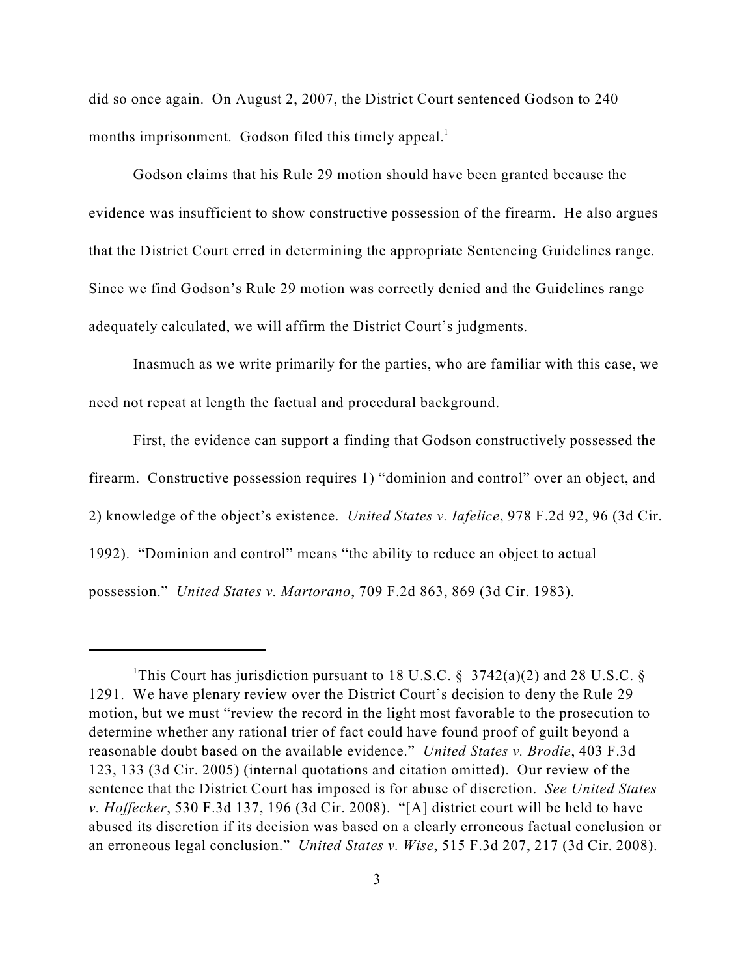did so once again. On August 2, 2007, the District Court sentenced Godson to 240 months imprisonment. Godson filed this timely appeal.<sup>1</sup>

Godson claims that his Rule 29 motion should have been granted because the evidence was insufficient to show constructive possession of the firearm. He also argues that the District Court erred in determining the appropriate Sentencing Guidelines range. Since we find Godson's Rule 29 motion was correctly denied and the Guidelines range adequately calculated, we will affirm the District Court's judgments.

Inasmuch as we write primarily for the parties, who are familiar with this case, we need not repeat at length the factual and procedural background.

First, the evidence can support a finding that Godson constructively possessed the firearm. Constructive possession requires 1) "dominion and control" over an object, and 2) knowledge of the object's existence. *United States v. Iafelice*, 978 F.2d 92, 96 (3d Cir. 1992). "Dominion and control" means "the ability to reduce an object to actual possession." *United States v. Martorano*, 709 F.2d 863, 869 (3d Cir. 1983).

<sup>&</sup>lt;sup>1</sup>This Court has jurisdiction pursuant to 18 U.S.C. § 3742(a)(2) and 28 U.S.C. § 1291. We have plenary review over the District Court's decision to deny the Rule 29 motion, but we must "review the record in the light most favorable to the prosecution to determine whether any rational trier of fact could have found proof of guilt beyond a reasonable doubt based on the available evidence." *United States v. Brodie*, 403 F.3d 123, 133 (3d Cir. 2005) (internal quotations and citation omitted). Our review of the sentence that the District Court has imposed is for abuse of discretion. *See United States v. Hoffecker*, 530 F.3d 137, 196 (3d Cir. 2008). "[A] district court will be held to have abused its discretion if its decision was based on a clearly erroneous factual conclusion or an erroneous legal conclusion." *United States v. Wise*, 515 F.3d 207, 217 (3d Cir. 2008).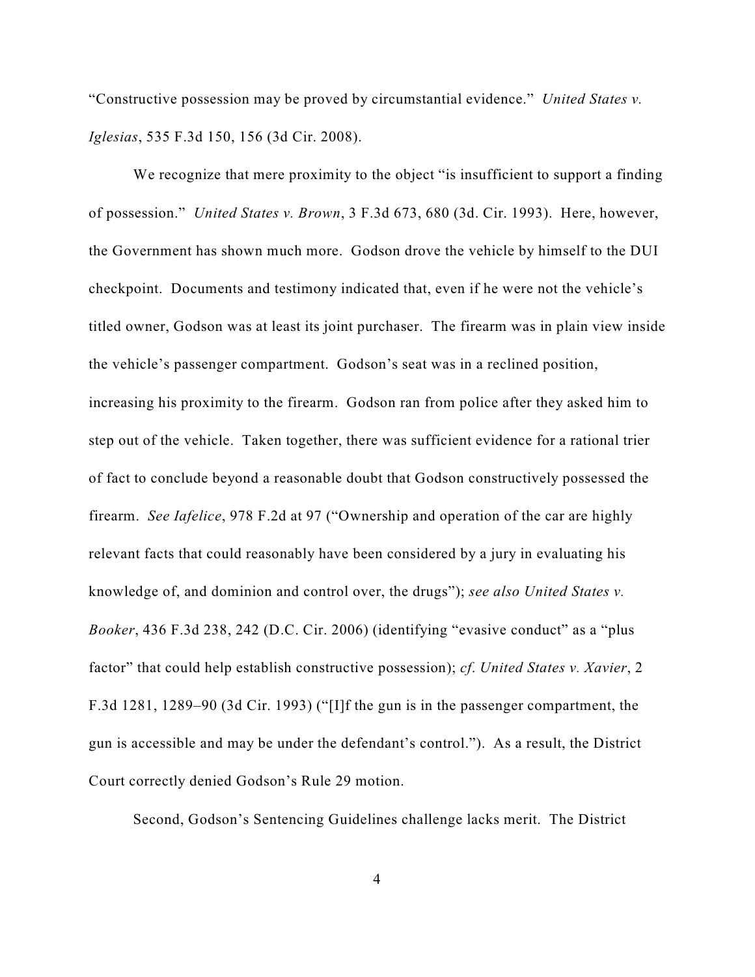"Constructive possession may be proved by circumstantial evidence." *United States v. Iglesias*, 535 F.3d 150, 156 (3d Cir. 2008).

We recognize that mere proximity to the object "is insufficient to support a finding of possession." *United States v. Brown*, 3 F.3d 673, 680 (3d. Cir. 1993). Here, however, the Government has shown much more. Godson drove the vehicle by himself to the DUI checkpoint. Documents and testimony indicated that, even if he were not the vehicle's titled owner, Godson was at least its joint purchaser. The firearm was in plain view inside the vehicle's passenger compartment. Godson's seat was in a reclined position, increasing his proximity to the firearm. Godson ran from police after they asked him to step out of the vehicle. Taken together, there was sufficient evidence for a rational trier of fact to conclude beyond a reasonable doubt that Godson constructively possessed the firearm. *See Iafelice*, 978 F.2d at 97 ("Ownership and operation of the car are highly relevant facts that could reasonably have been considered by a jury in evaluating his knowledge of, and dominion and control over, the drugs"); *see also United States v. Booker*, 436 F.3d 238, 242 (D.C. Cir. 2006) (identifying "evasive conduct" as a "plus factor" that could help establish constructive possession); *cf*. *United States v. Xavier*, 2 F.3d 1281, 1289–90 (3d Cir. 1993) ("[I]f the gun is in the passenger compartment, the gun is accessible and may be under the defendant's control."). As a result, the District Court correctly denied Godson's Rule 29 motion.

Second, Godson's Sentencing Guidelines challenge lacks merit. The District